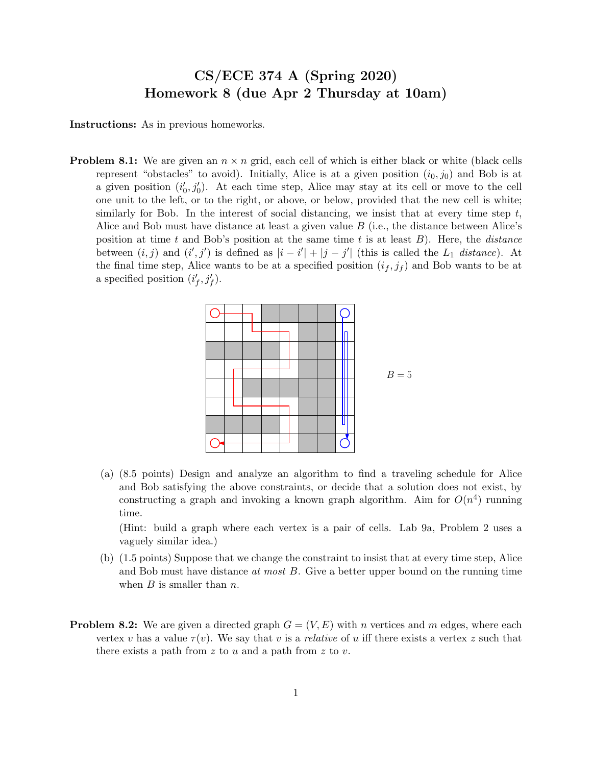## CS/ECE 374 A (Spring 2020) Homework 8 (due Apr 2 Thursday at 10am)

Instructions: As in previous homeworks.

**Problem 8.1:** We are given an  $n \times n$  grid, each cell of which is either black or white (black cells represent "obstacles" to avoid). Initially, Alice is at a given position  $(i_0, j_0)$  and Bob is at a given position  $(i'_0, j'_0)$ . At each time step, Alice may stay at its cell or move to the cell one unit to the left, or to the right, or above, or below, provided that the new cell is white; similarly for Bob. In the interest of social distancing, we insist that at every time step  $t$ , Alice and Bob must have distance at least a given value B (i.e., the distance between Alice's position at time t and Bob's position at the same time t is at least  $B$ ). Here, the *distance* between  $(i, j)$  and  $(i', j')$  is defined as  $|i - i'| + |j - j'|$  (this is called the  $L_1$  distance). At the final time step, Alice wants to be at a specified position  $(i_f, j_f)$  and Bob wants to be at a specified position  $(i'_f, j'_f)$ .



(a) (8.5 points) Design and analyze an algorithm to find a traveling schedule for Alice and Bob satisfying the above constraints, or decide that a solution does not exist, by constructing a graph and invoking a known graph algorithm. Aim for  $O(n^4)$  running time.

(Hint: build a graph where each vertex is a pair of cells. Lab 9a, Problem 2 uses a vaguely similar idea.)

- (b) (1.5 points) Suppose that we change the constraint to insist that at every time step, Alice and Bob must have distance at most  $B$ . Give a better upper bound on the running time when  $B$  is smaller than  $n$ .
- **Problem 8.2:** We are given a directed graph  $G = (V, E)$  with n vertices and m edges, where each vertex v has a value  $\tau(v)$ . We say that v is a relative of u iff there exists a vertex z such that there exists a path from z to u and a path from z to v.